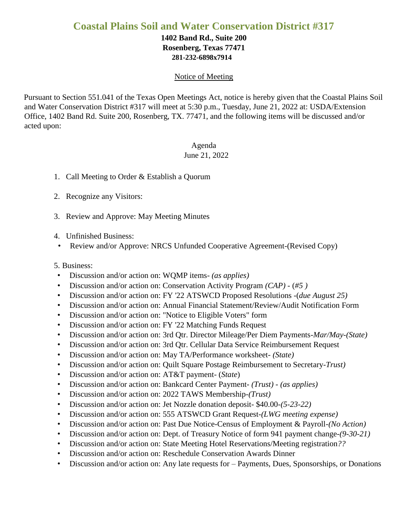# **Coastal Plains Soil and Water Conservation District #317**

### **1402 Band Rd., Suite 200 Rosenberg, Texas 77471 281-232-6898x7914**

#### Notice of Meeting

Pursuant to Section 551.041 of the Texas Open Meetings Act, notice is hereby given that the Coastal Plains Soil and Water Conservation District #317 will meet at 5:30 p.m., Tuesday, June 21, 2022 at: USDA/Extension Office, 1402 Band Rd. Suite 200, Rosenberg, TX. 77471, and the following items will be discussed and/or acted upon:

## Agenda

### June 21, 2022

- 1. Call Meeting to Order & Establish a Quorum
- 2. Recognize any Visitors:
- 3. Review and Approve: May Meeting Minutes
- 4. Unfinished Business:
- Review and/or Approve: NRCS Unfunded Cooperative Agreement-(Revised Copy)

### 5. Business:

- Discussion and/or action on: WQMP items*- (as applies)*
- Discussion and/or action on: Conservation Activity Program *(CAP)* (*#5 )*
- Discussion and/or action on: FY '22 ATSWCD Proposed Resolutions -(*due August 25)*
- Discussion and/or action on: Annual Financial Statement/Review/Audit Notification Form
- Discussion and/or action on: "Notice to Eligible Voters" form
- Discussion and/or action on: FY '22 Matching Funds Request
- Discussion and/or action on: 3rd Qtr. Director Mileage/Per Diem Payments-*Mar/May-(State)*
- Discussion and/or action on: 3rd Qtr. Cellular Data Service Reimbursement Request
- Discussion and/or action on: May TA/Performance worksheet- *(State)*
- Discussion and/or action on: Quilt Square Postage Reimbursement to Secretary-*Trust)*
- Discussion and/or action on: AT&T payment- (*State*)
- Discussion and/or action on: Bankcard Center Payment- *(Trust) (as applies)*
- Discussion and/or action on: 2022 TAWS Membership-*(Trust)*
- Discussion and/or action on: Jet Nozzle donation deposit- \$40.00-*(5-23-22)*
- Discussion and/or action on: 555 ATSWCD Grant Request-*(LWG meeting expense)*
- Discussion and/or action on: Past Due Notice-Census of Employment & Payroll-*(No Action)*
- Discussion and/or action on: Dept. of Treasury Notice of form 941 payment change-*(9-30-21)*
- Discussion and/or action on: State Meeting Hotel Reservations/Meeting registration*??*
- Discussion and/or action on: Reschedule Conservation Awards Dinner
- Discussion and/or action on: Any late requests for Payments, Dues, Sponsorships, or Donations